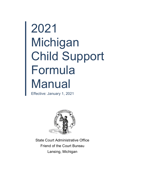# 2021 Michigan Child Support Formula **Manual**

Effective: January 1, 2021



State Court Administrative Office Friend of the Court Bureau Lansing, Michigan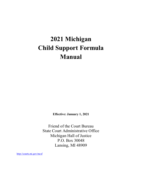# **2021 Michigan Child Support Formula Manual**

**Effective: January 1, 2021**

Friend of the Court Bureau State Court Administrative Office Michigan Hall of Justice P.O. Box 30048 Lansing, MI 48909

<http://courts.mi.gov/mcsf>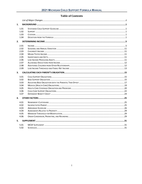# **Table of Contents**

| 1.   |  |  |  |  |
|------|--|--|--|--|
| 1.01 |  |  |  |  |
| 1.02 |  |  |  |  |
| 1.03 |  |  |  |  |
| 1.04 |  |  |  |  |
| 2.   |  |  |  |  |
| 2.01 |  |  |  |  |
| 2.02 |  |  |  |  |
| 2.03 |  |  |  |  |
| 2.04 |  |  |  |  |
| 2.05 |  |  |  |  |
| 2.06 |  |  |  |  |
| 2.07 |  |  |  |  |
| 2.08 |  |  |  |  |
| 2.09 |  |  |  |  |
| 3.   |  |  |  |  |
|      |  |  |  |  |
| 3.01 |  |  |  |  |
| 3.02 |  |  |  |  |
| 3.03 |  |  |  |  |
| 3.04 |  |  |  |  |
| 3.05 |  |  |  |  |
| 3.06 |  |  |  |  |
| 3.07 |  |  |  |  |
| 4.   |  |  |  |  |
| 4.01 |  |  |  |  |
| 4.02 |  |  |  |  |
| 4.03 |  |  |  |  |
| 4.04 |  |  |  |  |
| 4.05 |  |  |  |  |
| 4.06 |  |  |  |  |
| 5.   |  |  |  |  |
| 5.01 |  |  |  |  |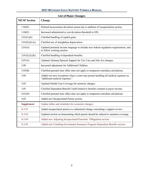<span id="page-4-0"></span>

| <b>MCSF</b> Section | Change                                                                                                               |  |  |
|---------------------|----------------------------------------------------------------------------------------------------------------------|--|--|
| 1.04(E)             | Deleted incarceration deviation reason due to addition of incapacitation section.                                    |  |  |
| 1.04(E)             | Increased administrative cost deviation threshold to \$20.                                                           |  |  |
| 2.01(C)(6)          | Clarified handling of capital gains.                                                                                 |  |  |
| 2.01(E)(4)(e)       | Clarified use of straightline depreciation.                                                                          |  |  |
| 2.01(G)             | Updated potential income language to include new federal regulation requirements, and<br>to follow existing caselaw. |  |  |
| 2.01(I), (J), (K)   | Clarified handling of dependent benefits.                                                                            |  |  |
| 2.07(A)             | Updated Alimony/Spousal Support for Tax Cuts and Jobs Act changes.                                                   |  |  |
| 2.08                | Increased adjustment for Additional Children.                                                                        |  |  |
| 3.03(B)             | Clarified parental time offset does not apply to nonparent custodian calculations.                                   |  |  |
| 3.04                | Added two new exceptions when a court may permit handling all medical expenses as<br>"additional medical expenses."  |  |  |
| 3.05                | Updated Health Care Coverage for statutory changes.                                                                  |  |  |
| 3.05                | Clarified Dependent Benefit Credit limited to benefits counted as payer income.                                      |  |  |
| 4.01(D)             | Clarified parental time offset does not apply to nonparent custodian calculations.                                   |  |  |
| 4.02                | Added new Incapacitated Parent section.                                                                              |  |  |
| <b>Supplement</b>   | Update tables and schedules for economic changes.                                                                    |  |  |
| $S-3.01$            | Added incapacitated parent as a substantial change warranting a support review.                                      |  |  |
| $S-3.02$            | Updated section on determining which parent should be ordered to maintain coverage.                                  |  |  |
| $S-3.04$            | Added new Adjusting Incapacitated Parerents' Obligations section.                                                    |  |  |
| $S-3.05$            | Added new Crediting Government Insurance Program Dependent Benefits section.                                         |  |  |

# **List of Major Changes**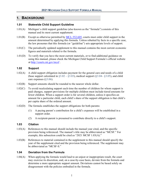# <span id="page-5-0"></span>**1. BACKGROUND**

#### <span id="page-5-1"></span>**1.01 Statewide Child Support Guideline**

- 1.01(A) Michigan's child support guideline (also known as the "formula") consists of this manual and its most current supplement.
- 1.01(B) Except as otherwise permitted by [MCL 552.605,](http://legislature.mi.gov/doc.aspx?mcl-552-605) courts must order child support in the amount determined by applying this formula. Unless rebutted by facts in a specific case, the law presumes that this formula (or "guideline") sets appropriate levels of support.
- 1.01(C) The periodically updated supplement to this manual contains the most current economic figures and materials related to the formula.
- 1.01(D) To verify that you have the most current materials, or to find additional guidance on using this manual, please check the Michigan Child Support Formula's official website at <http://courts.mi.gov/mcsf> .

#### <span id="page-5-2"></span>**1.02 Support**

- 1.02(A) A child support obligation includes payment for the general care and needs of a child (base support calculated in  $\S 3.02 - \S 3.03$ ), medical support ( $\S 3.04 - \S 3.05$ ), and child care expenses ([§3.06\)](#page-26-0).
- 1.02(B) Support amounts should be rounded to the nearest whole dollar.
- 1.02(C) To avoid recalculating support each time the number of children for whom support is paid changes, support provisions for multiple children must include tiered amounts for fewer children. When a support order is for several children, unless it specifies an amount for a particular child, each child's share of the support obligation is that child's per capita share of the ordered amount.
- 1.02(D) The formula establishes the support obligations for both parents:
	- (1) A paying parent's contribution for a child's expenses will be established in a support order.
	- (2) A recipient-parent is presumed to contribute directly to a child's support.

#### <span id="page-5-3"></span>**1.03 Citation**

- 1.03(A) References to this manual should include the manual year cited, and the specific provision being referenced. The manual's title may be abbreviated as "MCSF." For example, this subsection could be cited as "2021 MCSF 1.03(A)."
- 1.03(B) References to material contained in the supplement to this manual should specify the year of the supplement cited and the provision being referenced. The supplement may be abbreviated as "MCSF-S."

#### <span id="page-5-4"></span>**1.04 Deviation from the Formula**

1.04(A) When applying the formula would lead to an unjust or inappropriate result, the court may exercise its discretion, and, on a case-by-case basis, deviate from the formula and determine a more appropriate support amount. Deviations cannot be based solely on disagreement with the policies embodied in the formula.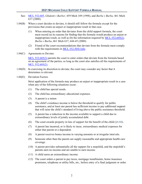- See: [MCL 552.605,](http://legislature.mi.gov/doc.aspx?mcl-552-605) *Ghidotti v Barber,* 459 Mich 189 (1998), and *Burba v Burba,* 461 Mich 637 (2000).
- 1.04(B) When a court decides to deviate, it should still follow the formula except for the provisions that create an unjust or inappropriate result in that case.
	- (1) When entering an order that deviates from the child support formula, the court must record (a) its reasons for finding that the formula would produce an unjust or inappropriate result, as well as (b) the information required by [MCL 552.605\(2\).](http://legislature.mi.gov/doc.aspx?mcl-552-605) *Burba v Burba*, 461 Mich 637, 644-45 (2000).
	- (2) Friend of the court recommendations that deviate from the formula must comply with the requirements in MCL  $552.505(1)$ (h).
- 1.04(C) Agreements to Deviate

[MCL 552.605\(3\)](http://legislature.mi.gov/doc.aspx?mcl-552-605) permits the court to enter orders that deviate from the formula based on an agreement of the parties, so long as the court also satisfies all the requirements of [MCL 552.605\(2\).](http://legislature.mi.gov/doc.aspx?mcl-552-605)

- 1.04(D) In exercising its discretion to deviate, the court may consider any factor that it determines is relevant.
- 1.04(E) Deviation Factors

Strict application of the formula may produce an unjust or inappropriate result in a case when any of the following situations occur:

- (1) The child has special needs.
- (2) The child has extraordinary educational expenses.
- (3) A parent is a minor.
- (4) The child's residence income is below the threshold to qualify for public assistance, and at least one parent has sufficient income to pay additional support that will raise the child's standard of living above the public assistance threshold.
- (5) A parent has a reduction in the income available to support a child due to extraordinary levels of jointly accumulated debt.
- (6) The court awards property in lieu of support for the benefit of the child  $(\S 4.04)$ .
- (7) A parent has incurred, or is likely to incur, extraordinary medical expenses for either that parent or a dependent.
- (8) A parent receives bonus income in varying amounts or at irregular intervals.
- (9) Someone other than the parent can supply reasonable and appropriate health care coverage.
- (10) A parent provides substantially all the support for a stepchild, and the stepchild's parents earn no income and are unable to earn income.
- (11) A child earns an extraordinary income.
- (12) The court orders a parent to pay taxes, mortgage installments, home insurance premiums, telephone or utility bills, etc., before entry of a final judgment or order.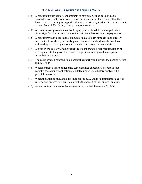- (13) A parent must pay significant amounts of restitution, fines, fees, or costs associated with that parent's conviction or incarceration for a crime other than those related to failing to support children, or a crime against a child in the current case or that child's sibling, other parent, or custodian.
- (14) A parent makes payments to a bankruptcy plan or has debt discharged, when either significantly impacts the monies that parent has available to pay support.
- (15) A parent provides a substantial amount of a child's day-time care and directly contributes toward a significantly greater share of the child's costs than those reflected by the overnights used to calculate the offset for parental time.
- <span id="page-7-0"></span>(16) A child in the custody of a nonparent-recipient spends a significant number of overnights with the payer that causes a significant savings in the nonparentcustodian's expenses.
- (17) The court ordered nonmodifiable spousal support paid between the parents before October 2004.
- (18) When a parent's share of net child care expenses exceeds 50 percent of that parent's base support obligation calculated under [§3.02](#page-19-2) before applying the parental time offset.
- (19) When the amount calculated does not exceed \$20, and the administrative cost to enforce and process payments outweighs the benefit of the minimal amounts.
- (20) Any other factor the court deems relevant to the best interests of a child.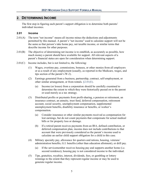# <span id="page-9-0"></span>**2. DETERMINING INCOME**

The first step in figuring each parent's support obligation is to determine both parents' individual incomes.

#### <span id="page-9-1"></span>**2.01 Income**

- $2.01(A)$  The term "net income" means all income minus the deductions and adjustments permitted by this manual. A parent's "net income" used to calculate support will not be the same as that person's take home pay, net taxable income, or similar terms that describe income for other purposes.
- 2.01(B) The objective of determining net income is to establish, as accurately as possible, how much money a parent should have available for support. All relevant aspects of a parent's financial status are open for consideration when determining support.
- <span id="page-9-2"></span> $2.01(C)$  Income includes, but is not limited to, the following:
	- (1) Wages, overtime pay, commissions, bonuses, or other monies from all employers or as a result of any employment (usually, as reported in the Medicare, wages, and tips section of the parent's W-2).
	- (2) Earnings generated from a business, partnership, contract, self-employment, or other similar arrangement, or from rentals. [§2.01\(E\).](#page-10-0)
		- (a) Income (or losses) from a corporation should be carefully examined to determine the extent to which they were historically passed on to the parent or used merely as a tax strategy.
	- (3) Distributed profits or payments from profit-sharing, a pension or retirement, an insurance contract, an annuity, trust fund, deferred compensation, retirement account, social security, unemployment compensation, supplemental unemployment benefits, disability insurance or benefits, or worker's compensation.
		- (a) Consider insurance or other similar payments received as compensation for lost earnings, but do not count payments that compensate for actual medical bills or for property loss or damage.
		- (b) If a retired parent receives payments from an IRA, defined contribution, or deferred compensation plan, income does not include contributions to that account that were previously considered as the parent's income used to calculate an earlier child support obligation for a child in this case.
	- (4) Military specialty pay, allowance for quarters and rations, housing, veterans' administration benefits, G.I. benefits (other than education allotment), or drill pay.
		- (a) If the servicemember receives housing pay and supports another home (i.e. second residence), housing pay is not considered income to the individual.
	- (5) Tips, gratuities, royalties, interest, dividends, fees, or gambling or lottery winnings to the extent that they represent regular income or may be used to generate regular income.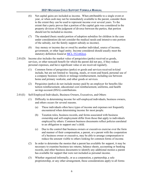- (6) Net capital gains are included as income. When attributable to a single event or year, or when cash may not be immediately available to the parent, consider them to the extent they can be used to represent income over several years. To the extent that a party proves that a portion of the capital gain was considered in the property division of the judgment of divorce between the parties, that portion should not be included as income.
- (7) The standard (basic needs) portion of adoption subsidies for children in the case under consideration (do not consider the medical needs and intensive rate portion of the subsidy, nor the family support subsidy as income).
- (8) Any money or income due or owed by another individual, source of income, government, or other legal entity. Income considered should usually meet the statutory definition found at [MCL 552.602\(o\).](http://legislature.mi.gov/doc.aspx?mcl-552-602)
- <span id="page-10-1"></span> $2.01(D)$  Income also includes the market value of perquisites (perks) received as goods, services, or other noncash benefit for which the parent did not pay, if they reduce personal expenses, and have significant value or are received regularly.
	- (1) Common forms of perquisites (perks) or goods and services received in-kind include, but are not limited to: housing, meals, or room and board, personal use of a company business vehicle or mileage reimbursement, including use between home and primary worksite, and other goods or services.
	- (2) Perquisites (perks) do not include money paid by an employer for benefits like tuition reimbursement, educational cost reimbursement, uniforms, and health savings account (HSA) contributions.
- <span id="page-10-0"></span>2.01(E) Self-Employed Individuals, Business Owners, Executives, and Others
	- (1) Difficulty in determining income for self-employed individuals, business owners, and others occurs for several reasons.
		- (a) These individuals often have types of income and expenses not frequently encountered when determining income for most people.
		- (b) Taxation rules, business records, and forms associated with business ownership and self-employment differ from those that apply to individuals employed by others. Common business documents reflect policies unrelated to an obligation to support one's child.
		- (c) Due to the control that business owners or executives exercise over the form and manner of their compensation, a parent, or a parent with the cooperation of a business owner or executive, may be able to arrange compensation to reduce the amount visible to others looking for common forms of income.
	- (2) In order to determine the monies that a parent has available for support, it may be necessary to examine business tax returns, balance sheets, accounting or banking records, and other business documents to identify any additional monies a parent has available for support that were not included as personal income.
	- (3) Whether organized informally, or as a corporation, a partnership, a sole proprietorship, or any other arrangement, these considerations apply to all forms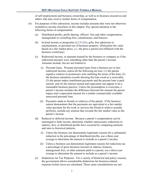of self-employment and business ownership, as well as to business executives and others who may receive similar forms of compensation.

- (4) For purposes of this subsection, income includes amounts that were not otherwise included as income elsewhere in this chapter. Pay special attention to the following forms of compensation:
	- (a) Distributed profits, profit sharing, officers' fees and other compensation, management or consulting fees, commissions, and bonuses.
	- (b) In-kind income or perquisites  $(\S 2.01(D))$ , gifts, free admission to entertainment, or personal use of business property. (Determine the value based on a fair market price, i.e., the price a person not affiliated with the business would pay).
	- (c) Redirected income, or amounts treated by the business or company as if the redirected amounts were something other than the parent's income. Amounts include, but are not limited to:
		- (i) Personal loans. Presume personal loans from a business are in fact redirected income, unless all the following are true: (1) the parent signed a contract or promissory note outlining the terms of the loan, (2) the business maintains records showing the loan owed as a receivable, (3) the parent makes installment payments and the present loan is paid current, and (4) the interest earned and repayment rate appear to be a reasonable business practice. Unless the presumption is overcome, a parent's income includes the difference between the amount the parent repays and a repayment amount for a similar commercially available unsecured personal loan.
		- (ii) Payments made to friends or relatives of the parent. If the business cannot demonstrate that the payments are equivalent to a fair market value payment for the work or services the friend or relative actually performs, include any amount that exceeds the fair market value as the parent's income.
	- (d) Reduced or deferred income. Because a parent's compensation can be rearranged to hide income, determine whether unnecessary reductions in salaries, fees, or distributed profits have occurred by comparing amounts and rates to historical patterns.
		- (i) Unless the business can demonstrate legitimate reasons for a substantial reduction in the percentage of distributed profits, use a three-year average to determine the amount to include as a parent's income.
		- (ii) Unless a business can demonstrate legitimate reasons for reductions (as a percentage of gross business income) in salaries, bonuses, management fees, or other amounts paid to a parent, use a three-year average to determine the amount to include as a parent's income.
	- (e) Deductions for Tax Purposes. For a variety of historical and policy reasons, the government allows considerable deductions for business-related expenses before taxes are calculated. Those same considerations are not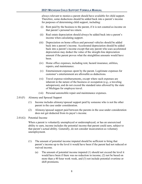always relevant to monies a parent should have available for child support. Therefore, some deductions should be added back into a parent's income for purposes of determining child support, including:

- (i) Rent paid by the business to the parent, if it is not counted as income on that parent's personal tax return.
- (ii) Real estate depreciation should always be added back into a parent's income when calculating support.
- (iii) Depreciation on home offices and personal vehicles should be added back into a parent's income. Accelerated depreciation should be added back into a parent's income except that any parent who uses accelerated depreciation may deduct the value of the straight-line depreciation amount if the parent proves what the straightline amounts would have been.
- (iv) Home office expenses, including rent, hazard insurance, utilities, repairs, and maintenance.
- (v) Entertainment expenses spent by the parent. Legitimate expenses for customer's entertainment are allowable as deductions.
- (vi) Travel expense reimbursements, except where such expenses are inherent in the nature of the business or occupation (e.g., a traveling salesperson), and do not exceed the standard rates allowed by the state of Michigan for employee travel.
- (vii) Personal automobile repair and maintenance expenses.
- 2.01(F) Alimony and Spousal Support
	- (1) Income includes alimony/spousal support paid by someone who is not the other parent in the case under consideration.
	- (2) Alimony/spousal support paid between the parents in the case under consideration does not get deducted from its payer's income.
- 2.01(G) Potential Income

When a parent is voluntarily unemployed or underemployed, or has an unexercised ability to earn, income includes the potential income that parent could earn, subject to that parent's actual ability. Generally, do not consider incarceration as voluntary unemployment.

- (1) The amount of potential income imputed should be sufficient to bring that parent's income up to the level it would have been if the parent had not reduced or waived income.
	- (a) The amount of potential income imputed (1) should not exceed the level it would have been if there was no reduction in income, (2) not be based on more than a 40 hour work week, and (3) not include potential overtime or shift premiums.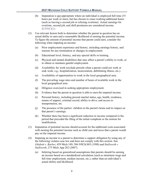- (b) Imputation is not appropriate where an individual is employed full time (35 hours per week or more, but has chosen to cease working additional hours (such as leaving a second job or refusing overtime). Actual earnings for overtime, second job, and shift premiums are considered income.  $§2.01(C)(1).$
- <span id="page-13-0"></span>(2) Use relevant factors both to determine whether the parent in question has an actual ability to earn and a reasonable likelihood of earning the potential income. To figure the amount of potential income that parent could earn, consider the following when imputing an income:
	- (a) Prior employment experience and history, including earnings history, and reasons for any termination or changes in employment.
	- (b) Educational level, literacy, and any special skills or training.
	- (c) Physical and mental disabilities that may affect a parent's ability to work, or to obtain or maintain gainful employment.
	- (d) Availability for work (exclude periods when a parent could not work or seek work, e.g., hospitalization, incarceration, debilitating illness, etc.).
	- (e) Availability of opportunities to work in the local geographical area.
	- (f) The prevailing wage rates and number of hours of available work in the local geographical area.
	- (g) Diligence exercised in seeking appropriate employment.
	- (h) Evidence that the parent in question is able to earn the imputed income.
	- (i) Personal history, including present marital status, age, health, residence, means of support, criminal record, ability to drive, and access to transportation, etc.
	- (j) The presence of the parties' children in the parent's home and its impact on that parent's earnings.
	- (k) Whether there has been a significant reduction in income compared to the period that preceded the filing of the initial complaint or the motion for modification.
- (3) Imputation of potential income should account for the additional costs associated with earning the potential income such as child care and taxes that a parent would pay on the imputed income.
- (4) Imputing an income to a parent to determine a support obligation by using any of the following violates case law and does not comply with this section. See: *Ghidotti v. Barber*, 459 Mich 189; 586 NW2d 883 (1998) and *Stallworth v Stallworth*, 275 Mich App 282 (2007).
	- (a) Inferring based on generalized assumptions that parents should be earning an income based on a standardized calculation (such as minimum wage and full time employment, median income, etc.), rather than an individual's actual ability and likelihood.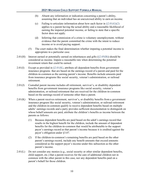- (b) Absent any information or indication concerning a parent's ability, assuming that an individual has an unexercised ability to earn an income.
- (c) Failing to articulate information about how each factor in  $\S2.01(G)(2)$ applies to a parent having the actual ability and a reasonable likelihood of earning the imputed potential income, or failing to state that a specific factor does not apply.
- (d) Inferring that commission of a crime is voluntary unemployment, without evidence that the parent committed the crime with the intent to reduce income or to avoid paying support.
- (5) The court makes the final determination whether imputing a potential income is appropriate in a particular case.
- <span id="page-14-1"></span>2.01(H) Interest earned or potentially earned on inheritances and gifts  $(\S 2.05(B))$  should be considered as income. Impute a reasonable rate when determining the potential investment return that could be earned.
- <span id="page-14-3"></span>2.01(I) Except as provided in  $\S 2.01(K)$ , attribute all dependent benefits from government insurance programs that are based on the earnings record of a parent and paid for the children-in-common as the earning parent's income. Benefits include amounts paid from insurance programs like social security, veteran's administration, or railroad retirement.
- 2.01(J) Custodial parent income includes all retirement, survivor's, or disability dependent benefits from government insurance programs like social security, veteran's administration, or railroad retirement that are received for the children-in-common based on the earnings record of someone other than a parent.
- <span id="page-14-0"></span> $2.01(K)$  When a parent receives retirement, survivor's, or disability benefits from a government insurance program like social security, veteran's administration, or railroad retirement and the children-in-common qualify to receive dependent benefits based on multiple adults' earnings records and a party provides sufficient documentation to distinguish on whose behalf amounts are paid, attribute the children's benefits as income between the parents as follows:
	- (1) Because dependent benefits are paid based on the adult's earnings record that results in the highest benefit for the children, include the amount of dependent benefits for the children-in-common that would be attributable to the support payer's earnings record as that parent's income because it is credited against the payer's obligation under [§3.07.](#page-28-0)
	- (2) If the children-in-common's remaining benefits are paid based on the other parent's earnings record, include any benefit amounts that exceed amounts considered as the support payer's income under this subsection as the other parent's income.
- <span id="page-14-2"></span> $2.01(L)$  Do not consider any monies (e.g., social security or other similar dependent benefits, child support, etc.) that a parent receives for the care of additional children not in common with the other parent in this case, nor any dependent benefits paid on a parent's behalf for those children.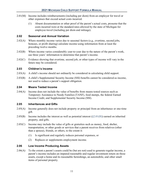- <span id="page-15-6"></span>2.01(M) Income includes reimbursements (including per diem) from an employer for travel or other expenses that exceed actual costs incurred.
	- (1) Absent documentation or other proof of the parent's actual costs, presume that the costs incurred were at the standard rates allowed by the state of Michigan for employee travel (including per diem and mileage).

#### <span id="page-15-0"></span>**2.02 Seasonal and Annual Variation**

- 2.02(A) Where monthly income varies due to seasonal factors (e.g., overtime, second jobs, bonuses, or profit sharing) calculate income using information from at least the preceding twelve months.
- 2.02(B) Where income varies considerably year-to-year due to the nature of the parent's work, use three years' information to determine that parent's income.
- 2.02(C) Evidence showing that overtime, second job, or other types of income will vary in the future may be considered.

#### <span id="page-15-1"></span>**2.03 Children's Income**

- 2.03(A) A child's income should not ordinarily be considered in calculating child support.
- 2.03(B) A child's Supplemental Security Income (SSI) benefits cannot be considered as income, nor used to reduce a parent's support obligation.

#### <span id="page-15-2"></span>**2.04 Means Tested Income**

2.04(A) Income does not include the value of benefits from means tested sources such as Temporary Assistance to Needy Families (TANF), food stamps, the federal Earned Income Credit, and Supplemental Security Income (SSI).

#### <span id="page-15-3"></span>**2.05 Inheritances and Gifts**

- 2.05(A) Income generally does not include property or principal from an inheritance or one-time gift.
- <span id="page-15-5"></span>2.05(B) Income includes the interest as well as potential interest  $(\S 2.01(H))$  earned on inherited property, and gifts.
- 2.05(C) Income may include the value of gifts or gratuities such as money, food, shelter, transportation, or other goods or services that a parent receives from relatives (other than a spouse), friends, or others, to the extent it:
	- (1) Is significant and regularly reduces personal expenses, or
	- (2) Replaces or supplements employment income.

#### <span id="page-15-4"></span>**2.06 Low Income Producing Assets**

2.06(A) To the extent a parent's assets could be (but are not) used to generate regular income, a parent's income includes an imputed reasonable and regular investment return on those assets, except a home and its reasonable furnishings, an automobile, and other small items of personal property.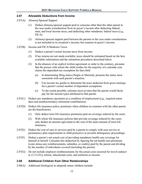#### <span id="page-16-0"></span>**2.07 Allowable Deductions from Income**

- 2.07(A) Alimony/Spousal Support
	- (1) Deduct alimony/spousal support paid to someone other than the other parent in the case under consideration from its payer's income after deducting federal, state, and local income taxes, and deducting other mandatory federal taxes (e.g., FICA).
	- (2) Alimony/spousal support paid between the parents in the case under consideration is not included as its recipient's income, but remains its payer's income.
- 2.07(B) Income and FICA/Medicare Taxes
	- (1) Deduct a parent's actual income taxes from income.
	- (2) If tax returns are not made available, taxes should be estimated based on the best available information and the estimation procedures described below.
	- (3) In the absence of an explicit written agreement or order to the contrary, presume that the person with whom the child resides for the majority of a calendar year claims the dependent tax exemption for that child.
		- (a) In determining filing status (Single or Married), presume the status most consistent with each parent's situation.
		- (b) Use income tax guides to determine the taxes deducted from gross earnings for a parent's actual number of dependent exemptions.
		- (c) To the extent possible, estimate taxes at rates that the parent would likely pay for the income types attributed to that parent.
- $2.07(C)$  Deduct any mandatory payments as a condition of employment (e.g., required union dues and nondiscretionary retirement contributions).
- 2.07(D) Deduct life insurance policy premiums when children-in-common with the other parent are the beneficiaries.
	- (1) Only deduct term life insurance premiums paid on coverage ordered by the court.
	- (2) With whole life insurance policies that provide coverage ordered by the court, only deduct an amount equivalent to the cost of the same amount of term life insurance.
- 2.07(E) Deduct the cost of care or services paid by a parent to comply with case service or permanency plan requirements in child protective or juvenile delinquency proceedings.
- <span id="page-16-3"></span>2.07(F) Deduct a parent's net actual cost of providing mandatory health care coverage for himself or herself. Calculate this deduction by figuring the net health care premiums [costs minus any reimbursements, subsidies, or credits] paid by the parent and dividing by the number of individuals covered (including the parent).
- 2.07(G) Do not include employer reimbursements for the actual costs incurred for travel (subject to  $\S2.01(M)$ , tuition, educational costs, and uniforms as income.

#### <span id="page-16-1"></span>**2.08 Additional Children from Other Relationships**

<span id="page-16-2"></span>2.08(A) Additional (biological or adopted) minor children include: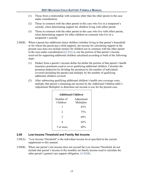- (1) Those from a relationship with someone other than the other parent in the case under consideration.
- (2) Those in common with the other parent in this case who live in a nonparent's custody, when determining support for children living with either parent.
- (3) Those in common with the other parent in this case who live with either parent, when determining support for other children-in-common who live in a nonparent's custody.
- 2.08(B) When a parent has additional minor children (whether living in that parent's household or for whom the parent pays child support), net income for calculating support in the present case does not include monies for children not in common with the other parent in the case under consideration ( $\S 2.01(L)$ ), nor the portion of that parent's income reserved for supporting additional children calculated according to both of the following steps:
	- (1) Deduct from a parent's income dollar-for-dollar the portion of that parent's health insurance premiums used to cover qualifying additional children. Calculate the premium deduction by dividing the premium by the number of individuals covered (including the parent) and multiply by the number of qualifying additional children covered.
	- (2) After subtracting qualifying additional children's health care coverage costs, multiply that parent's remaining net income by the Additional Children table's Adjustment Multiplier to determine net income to use for the present case.

| <b>Additional Children</b> |                          |  |  |
|----------------------------|--------------------------|--|--|
| Number of<br>Children      | Adjustment<br>Multiplier |  |  |
| 1                          | 83%                      |  |  |
| $\mathfrak{D}$             | 75%                      |  |  |
| 3                          | 68%                      |  |  |
| 4                          | 64%                      |  |  |
| 5 or more                  | 60%                      |  |  |

#### <span id="page-17-0"></span>**2.09 Low Income Threshold and Family Net Income**

- <span id="page-17-1"></span>2.09(A) "Low Income Threshold" is the individual income level specified in the current supplement to this manual.
- 2.09(B) When one parent's net income does not exceed the Low Income Threshold, do not include that parent's income in the monthly net family income used to calculate the other parent's general care support obligation. [§3.02\(B\).](#page-19-3)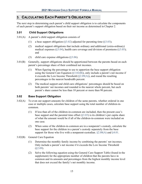# <span id="page-19-0"></span>**3. CALCULATING EACH PARENT'S OBLIGATION**

The next step in determining each parent's child support obligation is to calculate the components of each parent's support obligation based on their net income as determined in Chapter 2.

#### <span id="page-19-1"></span>**3.01 Child Support Obligations**

- 3.01(A) A parent's child support obligation consists of
	- (1) a base support obligation ([§3.02\)](#page-19-2) adjusted for parenting time ([§3.03\)](#page-21-0);
	- (2) medical support obligations that include ordinary and additional (extra-ordinary) medical expenses ( $\S 3.04$ ), health care coverage and division of premiums ( $\S 3.05$ ); and
	- (3) child care expense obligations  $(\S 3.06)$ .
- <span id="page-19-6"></span>3.01(B) Generally, support obligations should be apportioned between the parents based on each parent's percentage share of their combined net incomes.
	- (1) When figuring the percentage to use to apportion the base support obligation using the General Care Equation ( $\S 3.02(B)$ ), only include a parent's net income if it exceeds the Low Income Threshold ([§2.09\(A\)\)](#page-17-1), and round the resulting percentages to the nearest hundredth percent.
	- (2) The medical support and child care obligations' percentages should be based on both parents' net incomes and rounded to the nearest whole percent, but each parent's share cannot be less than 10 percent or more than 90 percent.

#### <span id="page-19-5"></span><span id="page-19-2"></span>**3.02 Base Support Obligation**

- 3.02(A) To even out support amounts for children of the same parents, whether ordered in one case or multiple cases, calculate base support using the total number of children-incommon.
	- (1) If less than all of the children-in-common are included, then the present case's base support and the parental time offset  $(\S 3.03)$  is its children's per capita share of what the amount would be if all of the children-in-common were included on one case.
	- (2) When some of the children-in-common are in a nonparent's custody, calculate the base support for the children in a parent's custody separately from the base support for those who live with a nonparent-custodian.  $\S2.08(A)$  and  $\S4.01$ .
- <span id="page-19-4"></span><span id="page-19-3"></span>3.02(B) General Care Equation
	- (1) Determine the monthly family income by combining the parents' net incomes. Only include a parent's net income if it exceeds the Low Income Threshold  $(\$2.09)$ .
	- (2) Solve the following equation using the General Care Support Table (found in the supplement) for the appropriate number of children that the parents have in common and its amounts and percentages from the highest monthly income level that does not exceed the family's net monthly income.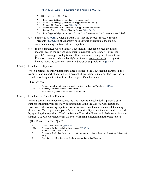#### ${A + [B x (C - D)]} x E = G$

- $A =$  Base Support (General Care Support table, column 3)
- $B =$  Marginal Percentage (General Care Support table, column 4)
- $C =$  Monthly Net Family Income ([§3.02\(B\)\(1\)\)](#page-19-4)
- D = Monthly Income Level (General Care Support table, first column)
- E = Parent's Percentage Share of Family Income  $(\S 3.02(B)(1))$
- G = Base Support obligation using the General Care Equation (round to the nearest whole dollar)
- (3) Subject to [§3.02\(D\),](#page-20-0) when a parent's net income exceeds the Low Income Threshold  $(\S2.09(A))$ , that parent's base support obligation is the amount determined using the General Care Equation.
- (4) In most instances when a family's net monthly income exceeds the highest income level in the current supplement's General Care Support Tables, the parents' base support obligations will be determined using the General Care Equation. However when a family's net income greatly exceeds the highest income level, the court may exercise discretion as provided in [§3.02\(E\).](#page-21-1)
- <span id="page-20-1"></span>3.02(C) Low Income Equation

When a parent's monthly net income does not exceed the Low Income Threshold, the parent's base support obligation is 10 percent of that parent's income. The Low Income Equation is designed to retain funds for the parent's subsistence.

 $F \times 10\% = L$ 

F = Parent's Monthly Net Income, when below the Low Income Threshold  $(\S 2.09(A))$ 10% = Percentage for Income below the threshold  $L =$  Base Support (round to the nearest whole dollar)

<span id="page-20-0"></span>3.02(D) Low Income Transition Equation

When a parent's net income exceeds the Low Income Threshold, that parent's base support obligation will generally be determined using the General Care Equation. However, if the following equation's result is lower than the amount calculated using the General Care Equation, a parent's base support obligation is the amount determined by applying this equation. The Low Income Transition Equation is designed to balance a parent's subsistence needs with the costs of raising children in another household.

 $(H x 10\%) + [(I - H) x P] = T$ 

- $H =$  Low Income Threshold ( $\S2.09(A)$ )  $10\%$  = Percentage for Income below the threshold ([§3.02\(C\)\)](#page-20-1) I = Parent's Monthly Net Income P = Percentage Multiplier for the appropriate number of children from the Transition Adjustment table
- T = Base Support obligation using the Low Income Transition Equation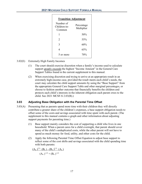| <b>Transition Adjustment</b>        |                          |  |
|-------------------------------------|--------------------------|--|
| Number of<br>Children-in-<br>Common | Percentage<br>Multiplier |  |
| 1                                   | 50%                      |  |
| 2                                   | 55%                      |  |
| 3                                   | 60%                      |  |
| 4                                   | 65%                      |  |
| 5 or more                           | 70%                      |  |

- <span id="page-21-1"></span>3.02(E) Extremely High Family Incomes
	- (1) The court should exercise discretion when a family's income used to calculate support greatly exceeds the highest "Income Amount" in the General Care Support Tables found in the current supplement to this manual.
	- (2) When exercising discretion and trying to arrive at an appropriate result in an extremely high-income case, provided the result meets each child's needs, the court may calculate the child support amounts by using the "Base Support" from the appropriate General Care Support Table and other marginal percentages, or choose to fashion another outcome that financially benefits the children and protects each child's interests in the inherent obligation each parent owes to the child. See 2021 MCSF-S 2.03(B).)

# <span id="page-21-0"></span>**3.03 Adjusting Base Obligation with the Parental Time Offset**

- 3.03(A) Presuming that as parents spend more time with their children they will directly contribute a greater share of the children's expenses, a base support obligation needs to offset some of the costs and savings associated with time spent with each parent. (The supplement to this manual contains a graph and other information about adjusting support payments for parenting time.)
	- (1) Base support mainly considers the cost of supporting a child who lives in one household. When a parent cares for a child overnight, that parent should cover many of the child's unduplicated costs, while the other parent will not have to spend as much money for food, utility, and other costs for the child.
	- (2) Apply the following Parental Time Offset Equation to adjust base support to reflect some of the cost shifts and savings associated with the child spending time with both parents:

$$
\frac{(A_o)^{2.5} \cdot (B_s) - (B_o)^{2.5} \cdot (A_s)}{(A_o)^{2.5} + (B_o)^{2.5}}
$$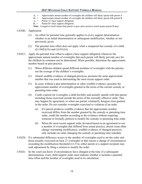- $A_0$  = Approximate annual number of overnights the children will likely spend with parent A  $B_0$  = Approximate annual number of overnights the children will likely spend with parent B
- Approximate annual number of overnights the children will likely spend with parent B
- $A_s$  = Parent A's base support obligation
- $B_s$  = Parent B's base support obligation

**Note:** A negative result means that parent A pays and a positive result means parent B pays.

- <span id="page-22-0"></span>3.03(B) Application
	- (1) An offset for parental time generally applies to every support determination whether in an initial determination or subsequent modification, whether or not previously given.
	- (2) The parental time offset does not apply when a nonparent has custody of a child.  $(\S1.04(E)(16)$  and  $(\S4.01(A))$ .
- 3.03(C) Apply the parental time offset to adjust a base support obligation whenever the approximate annual number of overnights that each parent will likely provide care for the children-in-common can be determined. When possible, determine the approximate number based on past practice.
	- (1) When different children spend different numbers of overnights with the parents, use the average of the children's overnights.
	- (2) Absent credible evidence of changed practices, presume the same approximate number that was used in determining the most recent support order.
	- (3) In cases without a past determination or other credible evidence, presume the approximate number of overnights granted in the terms of the current custody or parenting time order.
	- (4) Credit a parent for overnights a child lawfully and actually spends with that parent including those exercised outside the terms of the currently effective order. This may happen by agreement, or when one parent voluntarily foregoes time granted in the order. Do not consider overnights exercised in violation of an order.
		- (a) If a parent produces credible evidence that the approximate number exercised differs from the number granted by the custody or parenting time order, credit the number according to the evidence without requiring someone to formally petition to modify the custody or parenting time order.
		- (b) When the most recent support order deviated based on an agreement to use a number of overnights that differed from actual practice, absent some other change warranting modification, credible evidence of changed practices only includes an order changing the custody or parenting time schedule.
- 3.03(D) If a substantial difference occurs in the number of overnights used to set the order and those actually exercised (at least 21 overnights or that causes a change of circumstances exceeding the modification threshold  $(\S4.05)$ , either parent or a support recipient may seek adjustment by filing a motion to modify the order.
- 3.03(E) So the court can know if circumstances have changed at the time of a subsequent determination, every child support order must indicate whether it includes a parental time offset and the number of overnights used in its calculation.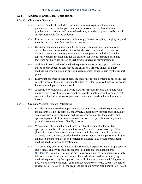#### <span id="page-23-0"></span>**3.04 Medical (Health Care) Obligations**

- 3.04(A) Obligations Generally
	- (1) The term "medical" includes treatments, services, equipment, medicines, preventative care, similar goods and services associated with oral, visual, psychological, medical, and other related care, provided or prescribed by health care professionals for the children.
	- (2) Routine remedial care costs for children (e.g., first-aid supplies, cough syrup, and vitamins) do not qualify as medical expenses.
	- (3) Ordinary medical expenses include the support recipient's co-payments and deductibles, and uninsured medical-related costs for all children in this case. Ordinary medical expenses presume that the recipient is the individual who typically obtains medical care for the children for whom support is paid, and therefore normally has out-of-pocket expenses needing reimbursement.
	- (4) Additional (extra-ordinary) medical expenses consist of the support recipient's out-of-pocket expenses that exceed the children's ordered annual ordinary medical expense amount and any uninsured medical expense paid by the support payer.
	- (5) Every support order should specify the medical expense percentage based on each parent's share of the family income  $(\S 3.01(B)(2))$  for uninsured medical expenses for which each parent is responsible.
	- (6) A parent's or custodian's qualifying medical expenses include those paid with monies from a health savings account or flexible benefit account, provided that account is funded, in whole or part, with monies reported as that individual's income.
- <span id="page-23-1"></span>3.04(B) Ordinary Medical Expense Obligations
	- (1) In order to reimburse the support recipient's qualifying medical expenditures for the children within the same calendar year, almost every support order should set an appropriate annual ordinary medical expense amount for the children and apportion payment of the annual amount between the parents according to each parent's percentage share of family income.
	- (2) When setting the annual amount, presume that the amount listed for the appropriate number of children in Ordinary Medical Expense Average Table (found in the supplement) is the amount that will be spent on ordinary medical expenses. Amounts may be added to the Table amounts to compensate for higher uninsured expenses that can be predicted in advance (e.g., orthodontia, special medical needs, or ongoing treatments).
	- (3) The court may determine that no ordinary medical expense amount is appropriate and treat all qualifying medical expenses as additional medical expenses  $(\S3.04(A)(4))$  when any following circumstance exists: (a) both parents routinely take one or more children-in-common for medical care and incur qualifying medical expenses, (b) the support payer will likely incur most qualifying out-ofpocket costs for the children, (c) an incapacitated payer's base support obligation is set at zero ( $\S 4.02$ ), or (d) the recipient has an employer-paid benefit (e.g., health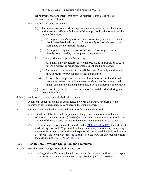reimbursement arrangement) that pays the recipient's initial out-of-pocket expenses for the children.

- (4) Ordinary Expense Payments
	- (a) The annual ordinary medical expense amount restarts every calendar year and remains in effect with the rest of the support obligation or until further order of the court.
		- (i) The support payer's apportioned share of ordinary medical expenses should be ordered paid as part of the monthly support obligation and maintained by the support recipient.
		- (ii) The support recipient's apportioned share of ordinary expenses is directly contributed by the recipient as expenses occur.
	- (b) Ordinary Medical Expense Accounting
		- (i) All qualifying expenditures are considered made in proportion to each parent's medical expense percentage established in the order.
		- (ii) Presume that the annual amount will be spent. The recipient does not have to routinely provide proof of its expenditure.
		- (iii) In order for a support recipient to seek reimbursement of additional medical expenses, the recipient needs to show that the ordered total annual ordinary medical expense amount for all children was exceeded.
	- (c) Prorate ordinary medical expense amounts for partial periods during which they are in effect.
- 3.04(C) Additional (Extra-ordinary) Medical Expenses

Additional expenses should be apportioned between the parents according to the medical expense percentages established in the support order.

- 3.04(D) Unreimbursed Medical Expense Minimum Enforcement Threshold
	- (1) State law establishes that complaints seeking enforcement of unreimbursed additional medical expenses ( $\S3.04(A)(4)$ ) must meet a minimum threshold before a friend of the court office is required to act on that complaint. [MCL 552.511a.](http://legislature.mi.gov/doc.aspx?mcl-552-511a)
	- (2) The "minimum enforcement threshold" under  $MCL 552.511a(1)(b)$  for additional medical expenses is \$100 per child each calendar year, or a lower amount set by the court. If unreimbursed additional expenses do not exceed the threshold before a year ends, those expenses may be submitted to the FOC for enforcement before the deadline under MCL  $552.511a(1)(c)$ .

#### <span id="page-24-0"></span>**3.05 Health Care Coverage Obligation and Premiums**

- 3.05(A) Health Care Coverage, Accessibility, and Cost
	- (1) The Support and Parenting Time Enforcement Act defines health care coverage as "a fee for service, health maintenance organization, preferred provider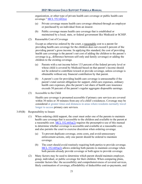organization, or other type of private health care coverage or public health care coverage." MCL  $552.602(n)$ 

- (a) Private coverage means health care coverage obtained through an employer or purchased by an individual from an insurer.
- (b) Public coverage means health care coverage that is established or maintained by a local, state, or federal government like Medicaid or SCHIP.
- (2) Reasonable Cost of Coverage

Except as otherwise ordered by the court, a reasonable cost to a parent for providing health care coverage for the children does not exceed 6 percent of the providing parent's gross income. In applying this standard, the cost of providing health care coverage is the parent's net cost of adding the children to the parent's coverage (e.g., difference between self-only and family coverage) or adding the children to the existing coverage.

- (a) Parents with a net income below 133 percent of the federal poverty level or whose child is covered by Medicaid based on that parent's income should not be ordered to contribute toward or provide coverage, unless coverage is obtainable without any financial contribution by that parent.
- (b) A parent's cost for providing health care coverage is unreasonable if the parent's total current obligation for support, child care expenses, ordinary health care expenses, plus the parent's net share of health care insurance exceeds 50 percent of the parent's regular aggregate disposable earnings.
- (3) Accessible to the Child

Health care coverage is presumed accessible if primary care services are covered within 30 miles or 30 minutes from any of a child's residences. Coverage may be considered at greater times and distances in areas where residents normally travel longer to access primary care services.

- 3.05(B) Responsibility to Insure
	- (1) When ordering child support, the court must order one of the parents to maintain health care coverage that is accessible to the children and available to the parent at a reasonable cost. [MCL 552.605a\(2\)](http://legislature.mi.gov/doc.aspx?mcl-552-605a) requires the presumptive use of this manual to determine whether coverage is accessible and available at a reasonable cost, and also permits the court to exercise discretion when ordering coverage.
		- (a) To prevent duplicate coverage, extra costs, and avoid unnecessary enforcement actions, only one parent should be ordered to maintain coverage.
		- (b) The court should avoid routinely requiring both parties to provide coverage. [MCL 552.605a\(2\)](http://legislature.mi.gov/doc.aspx?mcl-552-605a) allows ordering both parents to maintain coverage when both parents already provide coverage or both agree to provide coverage.
	- (2) Many factors may be used to determine which parent should maintain employer, group, individual, or public coverage for their children. When comparing plans, consider factors like: the accessibility and comprehensiveness of covered services, likely continuation of coverage, affordability of deductibles and co-payments, and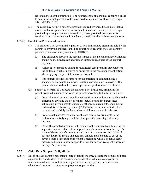reasonableness of the premiums. (The supplement to this manual contains a guide to determine which parent should be ordered to maintain health care coverage. 2021 MCSF-S 3.02.)

- (3) The court may permit a parent to provide required coverage through alternative means, such as a spouse's or other household member's coverage or coverage provided by a nonparent-custodian  $(\S 4.01(D)(6))$ , provided that a parent is required to purchase coverage immediately should the alternative coverage stop.
- 3.05(C) Health Care Premium Allocation
	- (1) The children's net determinable portion of health insurance premiums paid by the parents to cover the children should be apportioned according to each parent's percentage share of family income. [§3.01\(B\)\(2\).](#page-19-5)
		- (a) The difference between the parents' shares of the net determinable amounts should be included (as an addition or subtraction) as part of the support payment.
		- (b) Adjust base support by adding the net health care premium attributable to the children (whether positive or negative) to the base support obligation after applying the parental time offset formula.
		- (c) If the parent provides insurance for the children-in-common using a spouse's or household member's benefits, consider amounts paid by the parent's household as the parent's premiums paid to insure the children.
	- (2) Subject to  $\S 4.01(D)(5)$ , allocate the children's net health care premiums for parent-provided insurance between the parents according to the following steps.
		- (a) Determine each parent's monthly net health care premium attributable to the children by dividing the net premium (actual cost to the parent after subtracting any tax credits, subsidies, other reimbursements, and amount deducted for self-coverage under  $\S2.07(F)$  by the number of individuals covered and multiply by the number of children covered in this case.
		- (b) Prorate each parent's monthly health care premium attributable to the children by multiplying it and the other parent's percentage of family income.
		- (c) Offset the prorated premiums attributable to the children by subtracting the support recipient's share of the support payer's premium from the payer's share of the recipient's premium, and round to the nearest cent. (Note: A positive net result means an additional amount must be paid to cover the payer's share of the support recipient's premium, while a negative result means a reduction in base support to offset the support recipient's share of the payer's premium).

#### <span id="page-26-0"></span>**3.06 Child Care Support Obligations**

3.06(A) Based on each parent's percentage share of family income, allocate the actual child care expenses for the children in the case under consideration which allow a parent or nonparent-custodian to look for employment, retain employment, or to attend an educational program to improve employment opportunities.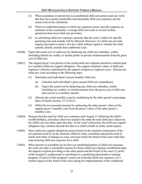- (1) When custodians or parents have an established child care pattern and can verify that they have actual, predictable and reasonable child care expenses, use the actual costs in the calculation.
- (2) When no established pattern of child care expenses exists, base the expenses on estimates of the community's average child care costs or several written quotations from local child care providers.
- (3) In calculating child care expenses, presume that the court's orders for specific parenting time and custody will be followed. However, if a child care provider requires payment to retain a slot for a child without regard to whether the child actually attends, include those additional costs.
- 3.06(B) Figure the actual cost of child care by deducting any child care subsidies, credits (including federal tax credit), or similar public or private reimbursements from the gross cost of child care.
- 3.06(C) The support payer's net portion of the actual child care expenses should be ordered paid as a monthly child care support obligation. The support recipient's share of child care expenses is directly contributed by the support recipient as expenses occur. Allocate net child care costs according to the following steps.
	- (1) Determine each individual's actual monthly child care.
		- (a) Calculate each individual's gross annual child care expenditures.
		- (b) Figure the actual cost by deducting any child care subsidies, credits (including tax credits), or reimbursements from the gross cost of child care and convert to a monthly amount.
	- (2) Allocate the actual monthly costs by multiplying by the other parent's percentage share of family income. [§3.01\(B\)\(2\).](#page-19-5)
	- (3) Offset the two prorated amounts by subtracting the other parent's share of the support payer's monthly costs from the payer's share of the other parent's monthly costs.
- 3.06(D) Presume that the need for child care continues until August 31 following the child's twelfth birthday, and unless otherwise stated in the order the total child care reduces by the child's pro rata share upon that date. At the court's discretion, the child care support obligation may continue beyond that date as a child's health or safety needs require.
- 3.06(E) Since child care support obligations accrue based on the assumed continuation of the net expenses used to set the currently effective order, custodians and parents need to notify each other of changes in costs, and must notify the friend of the court when they stop incurring child care expenses for a child.
- 3.06(F) When parents or custodians do not have an established pattern of child care expenses, the court can order a reasonable amount for future child care expenses conditioned upon the support recipient providing to the other parent and the friend of the court (1) proof of the recipient's employment or enrollment in a qualifying educational or training program, (2) proof of the recipient's actual out-of-pocket child care expenses, (3) a written request to the friend of the court asking for implementation of the conditional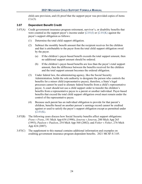child care provision, and (4) proof that the support payer was provided copies of items  $(1)-(3)$ .

#### <span id="page-28-0"></span>**3.07 Dependent Benefit Credit**

- 3.07(A) Credit government insurance program retirement, survivor's, or disability benefits that were counted as the support payer's income under  $\S 2.01(I)$  or  $\S 2.01(K)$  against the payer's support obligation as follows:
	- (1) Determine the total child support obligation.
	- (2) Subtract the monthly benefit amount that the recipient receives for the children and that is attributable to the payer from the total child support obligation owed by the payer.
		- (a) If the children's payer-based benefit exceeds the total support amount, then no additional support amount should be ordered.
		- (b) If the children's payer-based benefits are less than the payer's total support amount, then the difference between the benefits received for the children and the total support amount becomes the ordered obligation.
	- (3) Under federal law, the administering agency, like the Social Security Administration, holds the sole authority to designate the person who controls the benefits for a minor child (representative payee), therefore, a State's legal processes cannot be used to alienate federal benefits from a child's representative payee. A court should not use a child support order to transfer the children's benefits from a representative payee to a parent or another individual. Payer-based benefits that exceed the total child support obligation owed must remain under the control of the representative payee.
	- (4) Because each parent has an individual obligation to provide for that parent's children, benefits based on another person's earnings record cannot be credited against or used to satisfy the payer's support obligation except as permitted under  $§2.01(K).$
- 3.07(B) The following cases discuss how Social Security benefits affect support obligations: *Frens v Frens*, 191 Mich App 654 (1990); *Jenerou v Jenerou*, 200 Mich App 265 (1993); *Paulson v Paulson*, 254 Mich App 568 (2002); and *Fisher v Fisher*, 276 Mich App 424 (2007).
- 3.07(C) The supplement to this manual contains additional information and examples on crediting government insurance program dependent benefits. 2021 MCSF-S 3.05.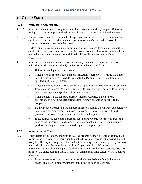# <span id="page-29-0"></span>**4. OTHER FACTORS**

#### <span id="page-29-1"></span>**4.01 Nonparent-Custodians**

- <span id="page-29-3"></span> $4.01(A)$  When a nonparent has custody of a child, both parents should pay support. Determine each parent's base support obligation according to that parent's individual income.
- 4.01(B) Parents are responsible for all medical expenses, health care coverage premiums, and child care expenses for children in a nonparent-custodian's care. When possible, apportion those costs between the parents.
- 4.01(C) In determining a parent's net income amount that will be used to calculate support for children in the care of a nonparent, treat the parents' other children-in-common who are not in the nonparent's custody as additional children from other relationships  $(\$2.08(A)).$
- 4.01(D) When a child is in a nonparent's physical custody, calculate each parent's support obligation for that child based only on that parent's income, as follows:
	- (1) Determine each parent's net income.
	- (2) Calculate each parent's base support obligation separately by treating the other parent's income as zero, and do not apply the Parental Time Offset Equation  $(\$1.04(E)(16)$  and  $(\$3.03(B))$ .
	- (3) Calculate medical expense and child care support obligations and require payment from only the parents. When possible, divide them between the parents based on each parent's percentage share of family income.
	- (4) Total a parent's base support, ordinary medical expense, and child care obligations to determine that parent's total support obligation payable to the nonparent.
	- (5) Do not reduce a parent's base support obligation paid to a nonparent-custodian for health care coverage premiums paid by a parent. Allocation of parent-paid premiums between the parents should be handled separately.
	- (6) If the nonparent-custodian purchases health care coverage for the children, add each parent's share of the children's net determinable portion of the premiums paid by the nonparent-custodian to that parent's support payment.

#### <span id="page-29-5"></span><span id="page-29-4"></span><span id="page-29-2"></span>**4.02 Incapacitated Parent**

- <span id="page-29-6"></span>4.02(A) "Incapacitation" means the inability to pay the ordered support obligation caused by a parent being temporarily or permanently unable to earn an income for a period that will likely last 180 days or longer and that is due to disability, mental incompetency, serious injury, debilitating illness, or incarceration. Beyond the financial impacts, incapacitation often limits the parent's ability to act in his or her own self-interests. At its onset, the exact duration and full impact of an incapacitating condition will often be uncertain.
	- (1) Due to the statutory restriction to retroactively modifying a final judgment or order, an action to modify support should start as soon as possible.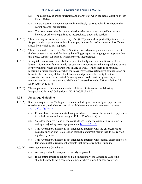- (2) The court may exercise discretion and grant relief when the actual duration is less than 180 days.
- (3) Often, a parent's income does not immediately return to what it was before the parent became incapacitated.
- (4) The court makes the final determination whether a parent is unable to earn an income or otherwise qualifies as incapacitated under this section.
- 4.02(B) The court may set an incapacitated payer's ([§4.02\(A\)\)](#page-29-6) child support obligation at zero for periods that a parent has an inability to pay due to a loss of income and insufficient assets from which to pay support.
- 4.02(C) The court should reduce the effect of the time needed to complete a review and avoid the bar on retroactive modification by including prospective language in support orders that abates support for periods when a payer is incapacitated.
- 4.02(D) It may take one or more years before a parent actually receives benefits or settles a lawsuit. Sometimes funds are paid retroactively to compensate the incapacitated parent for prior months when the parent was unable to work. When there is uncertainty regarding a future outcome or when the payer may receive retroactive compensation or benefits, the court may defer a final decision and preserve flexibility to set an appropriate amount for the period following notice to the parties by entering a temporary order that remains modifiable until uncertainty ends. *Fisher v Fisher*, 276 Mich App 424 (2007).
- 4.02(E) The supplement to this manual contains additional information on Adjusting Incapacitated Parents' Obligations. (2021 MCSF-S 3.04).

#### <span id="page-30-0"></span>**4.03 Arrearage Guideline**

- 4.03(A) State law requires that Michigan's formula include guidelines to figure payments for overdue support, and when support for a child terminates and arrearages are owed. [MCL 552.519\(3\)\(a\)\(vi\).](http://legislature.mi.gov/doc.aspx?mcl-552-519)
	- (1) Federal law requires states to have procedures to increase the amount of payments to include amounts for arrearages.  $42$  U.S.C.  $666(c)(1)(H)$ .
	- (2) State law requires friend of the court offices to use the Arrearage Guideline in setting or adjusting arrearage payments. [MCL 552.517e.](http://legislature.mi.gov/doc.aspx?mcl-552-517e)
	- (3) This Arrearage Guideline is not intended to interfere with the enforcement of past-due support and its collection through concurrent means that do not rely on regular payments.
	- (4) This Arrearage Guideline is not intended to interfere with judicial discretion to set fair and equitable repayment amounts that deviate from the Guideline.
- 4.03(B) Arrearage Payment Calculation
	- (1) Arrearages should be repaid as quickly as possible.
	- (2) If the entire arrearage cannot be paid immediately, the Arrearage Guideline should be used to set a repayment amount where support or fees are owed.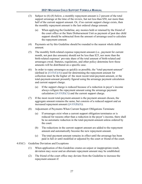- <span id="page-31-0"></span>(3) Subject to (6)-(8) below, a monthly repayment amount is 2 percent of the total support arrearage at the time of the review, but not less than \$50, nor more than half of the current support amount. Or, if no current support charge exists, then the monthly repayment amount is the last ordered charge amount.
	- (a) When applying the Guideline, any monies held or retained by the friend of the court office or the State Disbursement Unit as payment of past due child support should be subtracted from the amount of arrearage used to calculate the repayment amount.
- (4) Payments set by this Guideline should be rounded to the nearest whole dollar amount.
- (5) The monthly birth-related expense repayment amount (i.e., payment for current month, not past due amounts) should not be less than \$25, nor more than the birth-related expenses' pro-rata share of the total amount of birth-related and arrearages owed. Statutes, regulations, and other policy determine how these amounts will be distributed on a specific case.
- (6) In order to repay arrearages as quickly as possible, the "total-payment-amount" (defined in  $\S4.03(E)(4)$ ) used for determining the repayment amount for collection must be the higher of: the most recent total-payment-amount, or the total-payment-amount presently figured using the arrearage payment calculation and current support charge.
	- (a) If the support charge is reduced because of a reduction in payer's income always refigure the repayment amount using the arrearage payment calculation  $(\S4.03(B)(3))$  and the current support charge.
- (7) If the most recent total-payment-amount is the payment amount chosen, the aggregate amount remains the same, but consists of a reduced support and an increased repayment amount  $(\S 4.03(B)(8))$ .
- <span id="page-31-1"></span>(8) Adjustment of Payments When Current Support Obligations Terminate
	- (a) If arrearages exist when a current support obligation terminates or is reduced for reasons other than a reduction in the payer's income, there shall be no automatic reduction in the total-payment-amount unless ordered by the court.
	- (b) The reductions in the current support amount are added to the repayment amount and automatically become the new repayment amount.
	- (c) The total-payment-amount remains in effect until the arrearage has been paid in full or until modified or adjusted by the court or friend of the court.
- 4.03(C) Guideline Deviation and Exceptions
	- (1) When application of this Guideline creates an unjust or inappropriate result, deviation may occur and an alternate repayment amount may be established.
	- (2) The friend of the court office may deviate from the Guideline to increase the repayment amount if: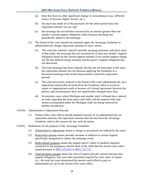- (a) there has been no other significant change in circumstances (e.g., different source of income, higher income, etc.),
- (b) the payer has made all of the payments for the entire period since the repayment amount was set, and
- (c) the arrearage has nevertheless increased by an amount greater than one month's current support obligation solely because surcharge has periodically added to the arrearage.
- (3) The friend of the court should not routinely apply the Arrearage Guideline to administratively change repayment amounts in cases where:
	- (a) The court has ordered a specific periodic arrearage payment, and since entry of that order, the arrearage has not increased by at least one month's support obligation based on the current support amount (if no current support charge use the last ordered charge amount) and the payer's support obligation has not decreased.
	- (b) The total arrearage has been reduced, but has not yet been paid in full since the repayment amount was set (because applying the Guideline to a decreased arrearage total would unnecessarily extend the repayment period).
	- (c) The court previously ordered or the friend of the court administratively set a repayment amount that deviated from the Guideline either to avoid an unjust or inappropriate result or because of a formal agreement between the parties, and circumstances have not significantly changed since then.
	- (d) In interstate cases where Michigan and another state's tribunal have entered an order regarding the same payer and child, and the support order and arrears accumulated under the Michigan order are being enforced by another jurisdiction.
- 4.03(D) Administrative Adjustment Records
	- (1) Friend of the court offices should maintain records of: (a) administratively set repayment amounts, (b) repayment amounts that deviate from the Arrearage Guideline, and (c) the reasons for any such deviation.
- <span id="page-32-0"></span>4.03(E) Definitions for the purpose of the Arrearage Guideline:
	- (1) Administrative adjustment means a change in an amount not ordered by the court.
	- (2) Repayment amount means periodic amounts in addition to current support specifically designated to reduce the arrearage owed.
	- (3) Birth-related expenses means the support payer's share of medical expenses connected to the pregnancy and the birth of the child that the circuit court orders repaid pursuant to [MCL 552.452](http://legislature.mi.gov/doc.aspx?mcl-552-452) or [MCL 722.712.](http://legislature.mi.gov/doc.aspx?mcl-722-712)
	- (4) Total-payment-amount means the sum of regular periodic current and past-due support obligation, fees, and other payments required by court order or statute (i.e., the total the court determined the parent could afford to pay) or administratively set by the friend of the court office.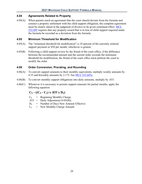#### <span id="page-33-0"></span>**4.04 Agreements Related to Property**

4.04(A) When parents reach an agreement that the court should deviate from the formula and connect a property settlement with the child support obligation, the complete agreement must be clearly stated in the judgment of divorce to be given continued effect. [MCL](http://legislature.mi.gov/doc.aspx?mcl-552-605)  [552.605](http://legislature.mi.gov/doc.aspx?mcl-552-605) requires that any property award that is in lieu of child support required under the formula be recorded as a deviation from the formula.

#### <span id="page-33-1"></span>**4.05 Minimum Threshold for Modification**

- 4.05(A) The "minimum threshold for modification" is 10 percent of the currently ordered support payment or \$50 per month, whichever is greater.
- 4.05(B) Following a child support review by the friend of the court office, if the difference between the recommended amount and the current order exceeds the minimum threshold for modification, the friend of the court office must petition the court to modify the order.

#### <span id="page-33-2"></span>**4.06 Order Conversion, Prorating, and Rounding**

- 4.06(A) To convert support amounts to their monthly equivalents, multiply weekly amounts by 4.35 and biweekly amounts by 2.175. See [MCL 552.605c.](http://legislature.mi.gov/doc.aspx?mcl-552-605c)
- 4.06(B) To convert monthly support obligations into daily amounts, multiply by .033.
- $4.06(C)$  Whenever it is necessary to prorate support amounts for partial months, apply the following equation:

# $C_b$  **-**  $((C_b - C_n) \times .033 \times D_n)$

- $C_b$  = Beginning Monthly Charge
- $.033$  = Daily Adjustment  $(4.05(B))$
- $D_n$  = Number of Days New Amount Effective
- $C_n$  = New Monthly Charge Amount